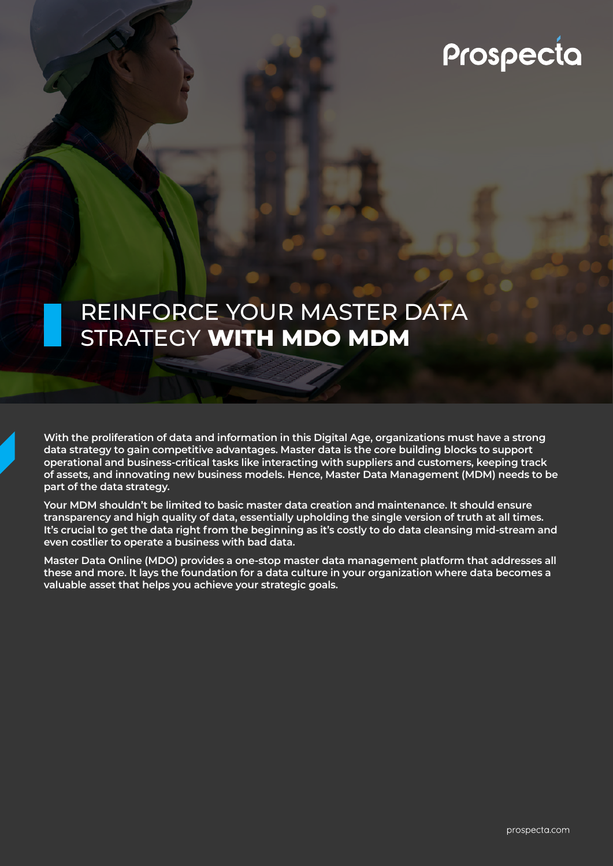# Prospecta

# REINFORCE YOUR MASTER DATA STRATEGY **WITH MDO MDM**

**With the proliferation of data and information in this Digital Age, organizations must have a strong data strategy to gain competitive advantages. Master data is the core building blocks to support operational and business-critical tasks like interacting with suppliers and customers, keeping track of assets, and innovating new business models. Hence, Master Data Management (MDM) needs to be part of the data strategy.**

**Your MDM shouldn't be limited to basic master data creation and maintenance. It should ensure transparency and high quality of data, essentially upholding the single version of truth at all times. It's crucial to get the data right from the beginning as it's costly to do data cleansing mid-stream and even costlier to operate a business with bad data.** 

**Master Data Online (MDO) provides a one-stop master data management platform that addresses all these and more. It lays the foundation for a data culture in your organization where data becomes a valuable asset that helps you achieve your strategic goals.**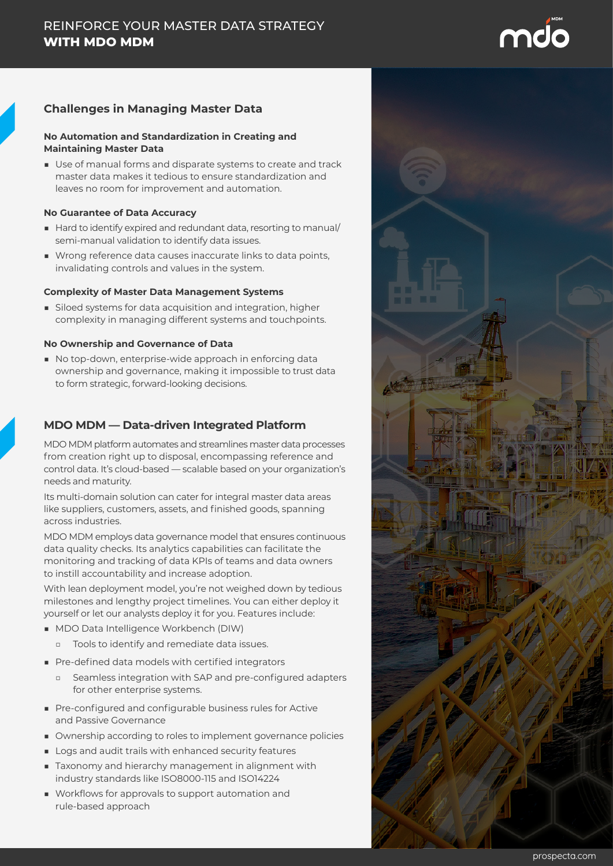# md

# **Challenges in Managing Master Data**

## **No Automation and Standardization in Creating and Maintaining Master Data**

■ Use of manual forms and disparate systems to create and track master data makes it tedious to ensure standardization and leaves no room for improvement and automation.

### **No Guarantee of Data Accuracy**

- Hard to identify expired and redundant data, resorting to manual/ semi-manual validation to identify data issues.
- Wrong reference data causes inaccurate links to data points, invalidating controls and values in the system.

## **Complexity of Master Data Management Systems**

■ Siloed systems for data acquisition and integration, higher complexity in managing different systems and touchpoints.

## **No Ownership and Governance of Data**

■ No top-down, enterprise-wide approach in enforcing data ownership and governance, making it impossible to trust data to form strategic, forward-looking decisions.

# **MDO MDM — Data-driven Integrated Platform**

MDO MDM platform automates and streamlines master data processes from creation right up to disposal, encompassing reference and control data. It's cloud-based — scalable based on your organization's needs and maturity.

Its multi-domain solution can cater for integral master data areas like suppliers, customers, assets, and finished goods, spanning across industries.

MDO MDM employs data governance model that ensures continuous data quality checks. Its analytics capabilities can facilitate the monitoring and tracking of data KPIs of teams and data owners to instill accountability and increase adoption.

With lean deployment model, you're not weighed down by tedious milestones and lengthy project timelines. You can either deploy it yourself or let our analysts deploy it for you. Features include:

- MDO Data Intelligence Workbench (DIW)
	- □ Tools to identify and remediate data issues.
- Pre-defined data models with certified integrators
	- □ Seamless integration with SAP and pre-configured adapters for other enterprise systems.
- Pre-configured and configurable business rules for Active and Passive Governance
- Ownership according to roles to implement governance policies
- Logs and audit trails with enhanced security features
- Taxonomy and hierarchy management in alignment with industry standards like ISO8000-115 and ISO14224
- Workflows for approvals to support automation and rule-based approach

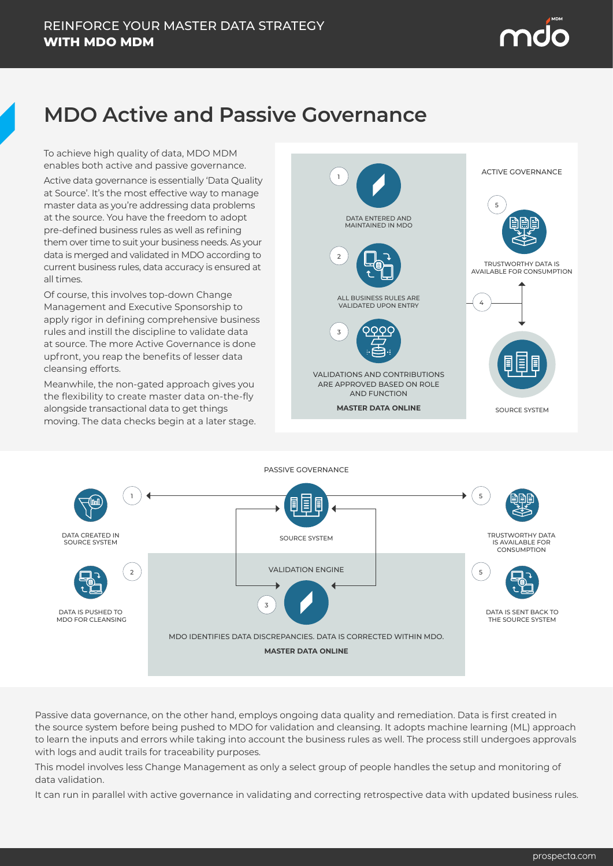# **MDO Active and Passive Governance**

To achieve high quality of data, MDO MDM enables both active and passive governance.

Active data governance is essentially 'Data Quality at Source'. It's the most effective way to manage master data as you're addressing data problems at the source. You have the freedom to adopt pre-defined business rules as well as refining them over time to suit your business needs. As your data is merged and validated in MDO according to current business rules, data accuracy is ensured at all times.

Of course, this involves top-down Change Management and Executive Sponsorship to apply rigor in defining comprehensive business rules and instill the discipline to validate data at source. The more Active Governance is done upfront, you reap the benefits of lesser data cleansing efforts.

Meanwhile, the non-gated approach gives you the flexibility to create master data on-the-fly alongside transactional data to get things moving. The data checks begin at a later stage.





Passive data governance, on the other hand, employs ongoing data quality and remediation. Data is first created in the source system before being pushed to MDO for validation and cleansing. It adopts machine learning (ML) approach to learn the inputs and errors while taking into account the business rules as well. The process still undergoes approvals with logs and audit trails for traceability purposes.

This model involves less Change Management as only a select group of people handles the setup and monitoring of data validation.

It can run in parallel with active governance in validating and correcting retrospective data with updated business rules.